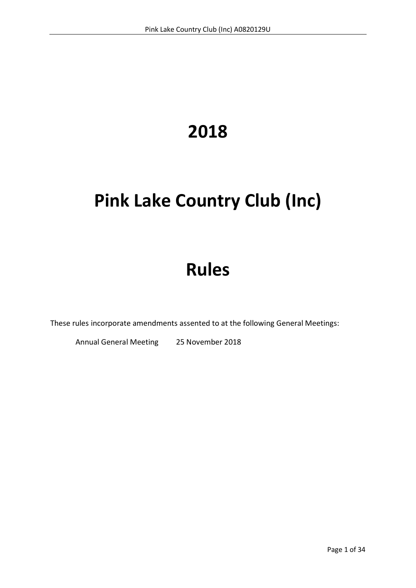# **2018**

# **Pink Lake Country Club (Inc)**

# **Rules**

These rules incorporate amendments assented to at the following General Meetings:

Annual General Meeting 25 November 2018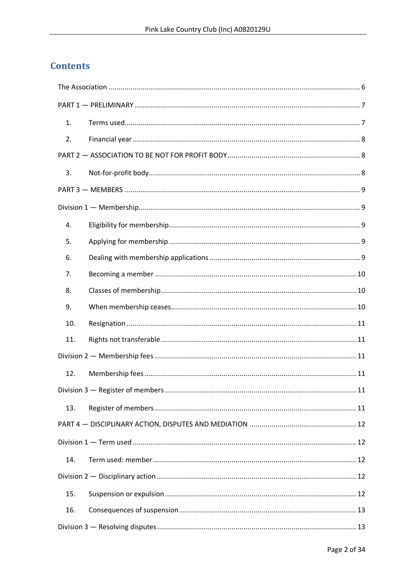# **Contents**

| 1.  |  |  |  |
|-----|--|--|--|
| 2.  |  |  |  |
|     |  |  |  |
| 3.  |  |  |  |
|     |  |  |  |
|     |  |  |  |
| 4.  |  |  |  |
| 5.  |  |  |  |
| 6.  |  |  |  |
| 7.  |  |  |  |
| 8.  |  |  |  |
| 9.  |  |  |  |
| 10. |  |  |  |
| 11. |  |  |  |
|     |  |  |  |
| 12. |  |  |  |
|     |  |  |  |
| 13. |  |  |  |
|     |  |  |  |
|     |  |  |  |
| 14. |  |  |  |
|     |  |  |  |
| 15. |  |  |  |
| 16. |  |  |  |
|     |  |  |  |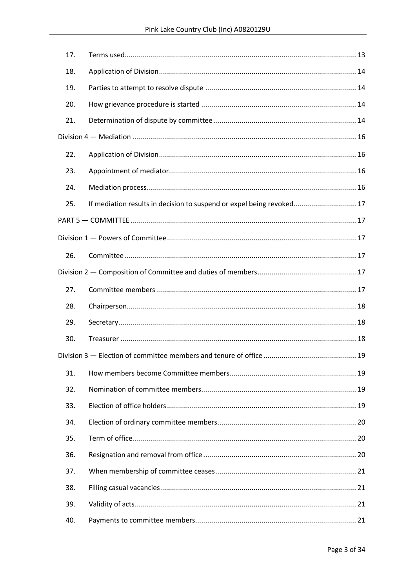| 17. |                                                                       |  |  |
|-----|-----------------------------------------------------------------------|--|--|
| 18. |                                                                       |  |  |
| 19. |                                                                       |  |  |
| 20. |                                                                       |  |  |
| 21. |                                                                       |  |  |
|     |                                                                       |  |  |
| 22. |                                                                       |  |  |
| 23. |                                                                       |  |  |
| 24. |                                                                       |  |  |
| 25. | If mediation results in decision to suspend or expel being revoked 17 |  |  |
|     |                                                                       |  |  |
|     |                                                                       |  |  |
| 26. |                                                                       |  |  |
|     |                                                                       |  |  |
| 27. |                                                                       |  |  |
| 28. |                                                                       |  |  |
| 29. |                                                                       |  |  |
| 30. |                                                                       |  |  |
|     |                                                                       |  |  |
| 31. |                                                                       |  |  |
| 32. |                                                                       |  |  |
| 33. |                                                                       |  |  |
| 34. |                                                                       |  |  |
| 35. |                                                                       |  |  |
| 36. |                                                                       |  |  |
| 37. |                                                                       |  |  |
| 38. |                                                                       |  |  |
| 39. |                                                                       |  |  |
| 40. |                                                                       |  |  |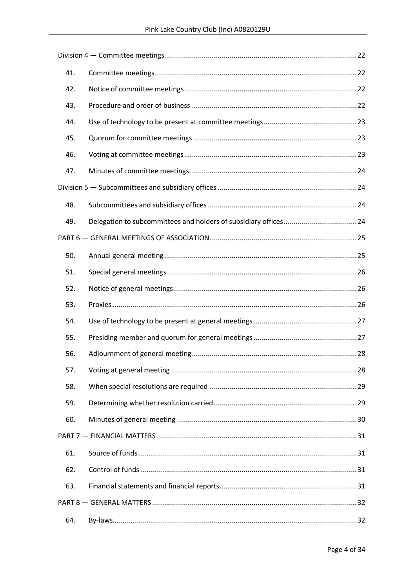| 41. |  |  |  |  |
|-----|--|--|--|--|
| 42. |  |  |  |  |
| 43. |  |  |  |  |
| 44. |  |  |  |  |
| 45. |  |  |  |  |
| 46. |  |  |  |  |
| 47. |  |  |  |  |
|     |  |  |  |  |
| 48. |  |  |  |  |
| 49. |  |  |  |  |
|     |  |  |  |  |
| 50. |  |  |  |  |
| 51. |  |  |  |  |
| 52. |  |  |  |  |
| 53. |  |  |  |  |
| 54. |  |  |  |  |
| 55. |  |  |  |  |
| 56. |  |  |  |  |
| 57. |  |  |  |  |
| 58. |  |  |  |  |
| 59. |  |  |  |  |
| 60. |  |  |  |  |
|     |  |  |  |  |
| 61. |  |  |  |  |
| 62. |  |  |  |  |
| 63. |  |  |  |  |
|     |  |  |  |  |
| 64. |  |  |  |  |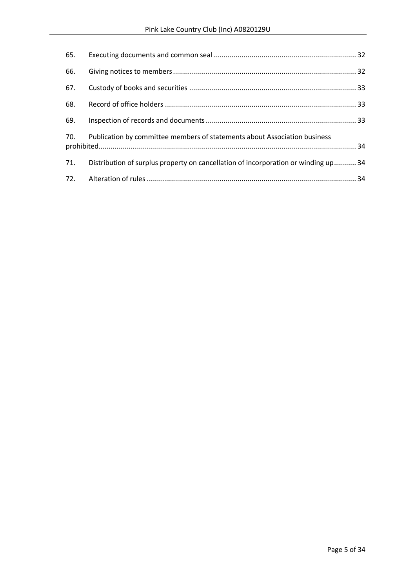| 65. |                                                                                    |  |
|-----|------------------------------------------------------------------------------------|--|
| 66. |                                                                                    |  |
| 67. |                                                                                    |  |
| 68. |                                                                                    |  |
| 69. |                                                                                    |  |
| 70. | Publication by committee members of statements about Association business          |  |
| 71. | Distribution of surplus property on cancellation of incorporation or winding up 34 |  |
| 72. |                                                                                    |  |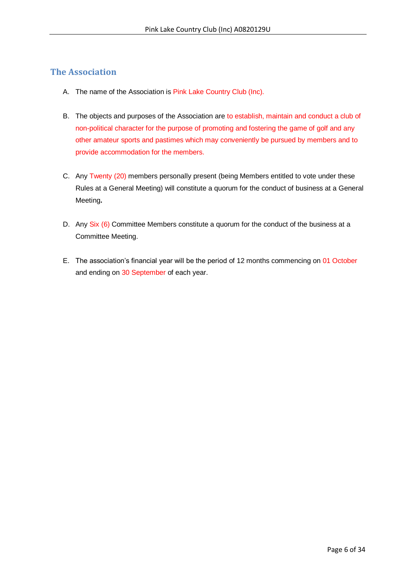# <span id="page-5-0"></span>**The Association**

- A. The name of the Association is Pink Lake Country Club (Inc).
- B. The objects and purposes of the Association are to establish, maintain and conduct a club of non-political character for the purpose of promoting and fostering the game of golf and any other amateur sports and pastimes which may conveniently be pursued by members and to provide accommodation for the members.
- C. Any Twenty (20) members personally present (being Members entitled to vote under these Rules at a General Meeting) will constitute a quorum for the conduct of business at a General Meeting**.**
- D. Any Six (6) Committee Members constitute a quorum for the conduct of the business at a Committee Meeting.
- E. The association's financial year will be the period of 12 months commencing on 01 October and ending on 30 September of each year.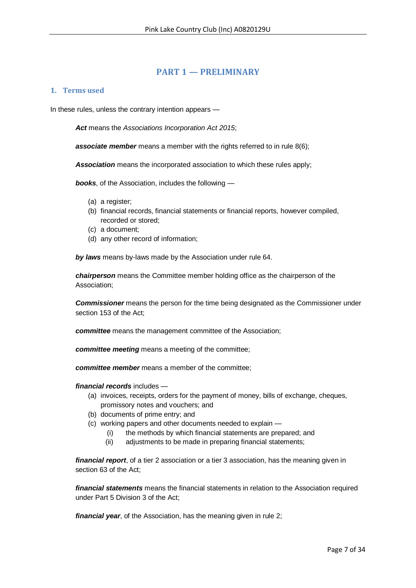# **PART 1 — PRELIMINARY**

### <span id="page-6-1"></span><span id="page-6-0"></span>**1. Terms used**

In these rules, unless the contrary intention appears —

*Act* means the *Associations Incorporation Act 2015*;

**associate member** means a member with the rights referred to in rule 8(6);

*Association* means the incorporated association to which these rules apply;

*books*, of the Association, includes the following —

- (a) a register;
- (b) financial records, financial statements or financial reports, however compiled, recorded or stored;
- (c) a document;
- (d) any other record of information;

*by laws* means by-laws made by the Association under rule 64.

*chairperson* means the Committee member holding office as the chairperson of the Association;

*Commissioner* means the person for the time being designated as the Commissioner under section 153 of the Act;

*committee* means the management committee of the Association;

*committee meeting* means a meeting of the committee;

*committee member* means a member of the committee;

*financial records* includes —

- (a) invoices, receipts, orders for the payment of money, bills of exchange, cheques, promissory notes and vouchers; and
- (b) documents of prime entry; and
- (c) working papers and other documents needed to explain
	- (i) the methods by which financial statements are prepared; and
	- (ii) adjustments to be made in preparing financial statements;

*financial report*, of a tier 2 association or a tier 3 association, has the meaning given in section 63 of the Act;

*financial statements* means the financial statements in relation to the Association required under Part 5 Division 3 of the Act;

*financial year*, of the Association, has the meaning given in rule 2;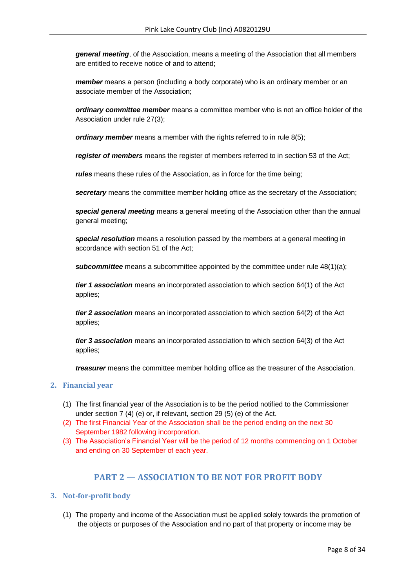*general meeting*, of the Association, means a meeting of the Association that all members are entitled to receive notice of and to attend;

*member* means a person (including a body corporate) who is an ordinary member or an associate member of the Association;

*ordinary committee member* means a committee member who is not an office holder of the Association under rule 27(3);

*ordinary member* means a member with the rights referred to in rule 8(5);

*register of members* means the register of members referred to in section 53 of the Act;

*rules* means these rules of the Association, as in force for the time being;

*secretary* means the committee member holding office as the secretary of the Association;

*special general meeting* means a general meeting of the Association other than the annual general meeting;

*special resolution* means a resolution passed by the members at a general meeting in accordance with section 51 of the Act;

**subcommittee** means a subcommittee appointed by the committee under rule 48(1)(a);

*tier 1 association* means an incorporated association to which section 64(1) of the Act applies;

*tier 2 association* means an incorporated association to which section 64(2) of the Act applies;

*tier 3 association* means an incorporated association to which section 64(3) of the Act applies;

*treasurer* means the committee member holding office as the treasurer of the Association.

# <span id="page-7-0"></span>**2. Financial year**

- (1) The first financial year of the Association is to be the period notified to the Commissioner under section 7 (4) (e) or, if relevant, section 29 (5) (e) of the Act.
- (2) The first Financial Year of the Association shall be the period ending on the next 30 September 1982 following incorporation.
- (3) The Association's Financial Year will be the period of 12 months commencing on 1 October and ending on 30 September of each year.

# **PART 2 — ASSOCIATION TO BE NOT FOR PROFIT BODY**

# <span id="page-7-2"></span><span id="page-7-1"></span>**3. Not-for-profit body**

(1) The property and income of the Association must be applied solely towards the promotion of the objects or purposes of the Association and no part of that property or income may be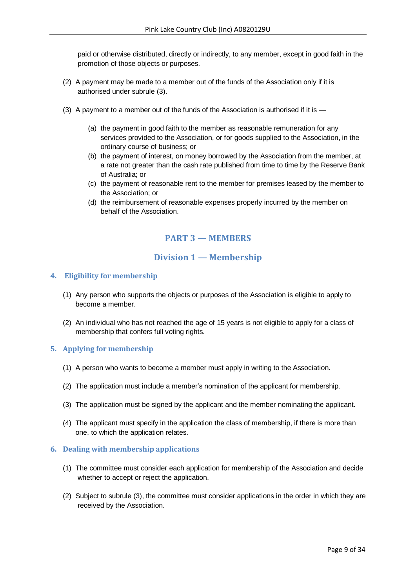paid or otherwise distributed, directly or indirectly, to any member, except in good faith in the promotion of those objects or purposes.

- (2) A payment may be made to a member out of the funds of the Association only if it is authorised under subrule (3).
- (3) A payment to a member out of the funds of the Association is authorised if it is
	- (a) the payment in good faith to the member as reasonable remuneration for any services provided to the Association, or for goods supplied to the Association, in the ordinary course of business; or
	- (b) the payment of interest, on money borrowed by the Association from the member, at a rate not greater than the cash rate published from time to time by the Reserve Bank of Australia; or
	- (c) the payment of reasonable rent to the member for premises leased by the member to the Association; or
	- (d) the reimbursement of reasonable expenses properly incurred by the member on behalf of the Association.

# **PART 3 — MEMBERS**

# **Division 1 — Membership**

# <span id="page-8-2"></span><span id="page-8-1"></span><span id="page-8-0"></span>**4. Eligibility for membership**

- (1) Any person who supports the objects or purposes of the Association is eligible to apply to become a member.
- (2) An individual who has not reached the age of 15 years is not eligible to apply for a class of membership that confers full voting rights.

# <span id="page-8-3"></span>**5. Applying for membership**

- (1) A person who wants to become a member must apply in writing to the Association.
- (2) The application must include a member's nomination of the applicant for membership.
- (3) The application must be signed by the applicant and the member nominating the applicant.
- (4) The applicant must specify in the application the class of membership, if there is more than one, to which the application relates.

# <span id="page-8-4"></span>**6. Dealing with membership applications**

- (1) The committee must consider each application for membership of the Association and decide whether to accept or reject the application.
- (2) Subject to subrule (3), the committee must consider applications in the order in which they are received by the Association.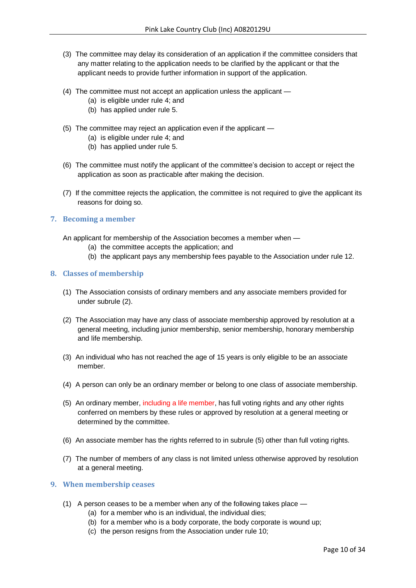- (3) The committee may delay its consideration of an application if the committee considers that any matter relating to the application needs to be clarified by the applicant or that the applicant needs to provide further information in support of the application.
- (4) The committee must not accept an application unless the applicant
	- (a) is eligible under rule 4; and
	- (b) has applied under rule 5.
- (5) The committee may reject an application even if the applicant
	- (a) is eligible under rule 4; and
	- (b) has applied under rule 5.
- (6) The committee must notify the applicant of the committee's decision to accept or reject the application as soon as practicable after making the decision.
- (7) If the committee rejects the application, the committee is not required to give the applicant its reasons for doing so.

#### <span id="page-9-0"></span>**7. Becoming a member**

An applicant for membership of the Association becomes a member when —

- (a) the committee accepts the application; and
- (b) the applicant pays any membership fees payable to the Association under rule 12.

#### <span id="page-9-1"></span>**8. Classes of membership**

- (1) The Association consists of ordinary members and any associate members provided for under subrule (2).
- (2) The Association may have any class of associate membership approved by resolution at a general meeting, including junior membership, senior membership, honorary membership and life membership.
- (3) An individual who has not reached the age of 15 years is only eligible to be an associate member.
- (4) A person can only be an ordinary member or belong to one class of associate membership.
- (5) An ordinary member, including a life member, has full voting rights and any other rights conferred on members by these rules or approved by resolution at a general meeting or determined by the committee.
- (6) An associate member has the rights referred to in subrule (5) other than full voting rights.
- (7) The number of members of any class is not limited unless otherwise approved by resolution at a general meeting.

#### <span id="page-9-2"></span>**9. When membership ceases**

- (1) A person ceases to be a member when any of the following takes place
	- (a) for a member who is an individual, the individual dies;
	- (b) for a member who is a body corporate, the body corporate is wound up;
	- (c) the person resigns from the Association under rule 10;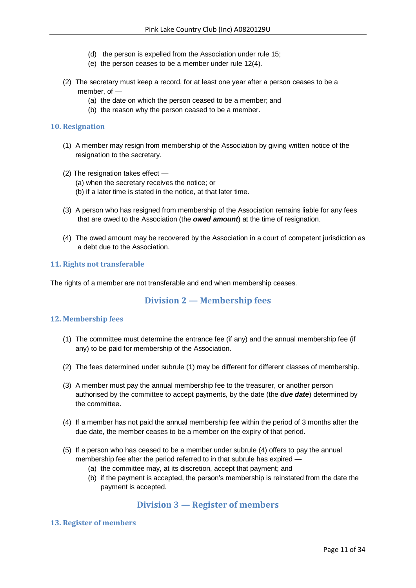- (d) the person is expelled from the Association under rule 15;
- (e) the person ceases to be a member under rule 12(4).
- (2) The secretary must keep a record, for at least one year after a person ceases to be a member, of —
	- (a) the date on which the person ceased to be a member; and
	- (b) the reason why the person ceased to be a member.

#### <span id="page-10-0"></span>**10. Resignation**

- (1) A member may resign from membership of the Association by giving written notice of the resignation to the secretary.
- (2) The resignation takes effect
	- (a) when the secretary receives the notice; or
	- (b) if a later time is stated in the notice, at that later time.
- (3) A person who has resigned from membership of the Association remains liable for any fees that are owed to the Association (the *owed amount*) at the time of resignation.
- (4) The owed amount may be recovered by the Association in a court of competent jurisdiction as a debt due to the Association.

# <span id="page-10-1"></span>**11. Rights not transferable**

<span id="page-10-2"></span>The rights of a member are not transferable and end when membership ceases.

# **Division 2 — M**e**mbership fees**

# <span id="page-10-3"></span>**12. Membership fees**

- (1) The committee must determine the entrance fee (if any) and the annual membership fee (if any) to be paid for membership of the Association.
- (2) The fees determined under subrule (1) may be different for different classes of membership.
- (3) A member must pay the annual membership fee to the treasurer, or another person authorised by the committee to accept payments, by the date (the *due date*) determined by the committee.
- (4) If a member has not paid the annual membership fee within the period of 3 months after the due date, the member ceases to be a member on the expiry of that period.
- (5) If a person who has ceased to be a member under subrule (4) offers to pay the annual membership fee after the period referred to in that subrule has expired —
	- (a) the committee may, at its discretion, accept that payment; and
	- (b) if the payment is accepted, the person's membership is reinstated from the date the payment is accepted.

# **Division 3 — Register of members**

#### <span id="page-10-5"></span><span id="page-10-4"></span>**13. Register of members**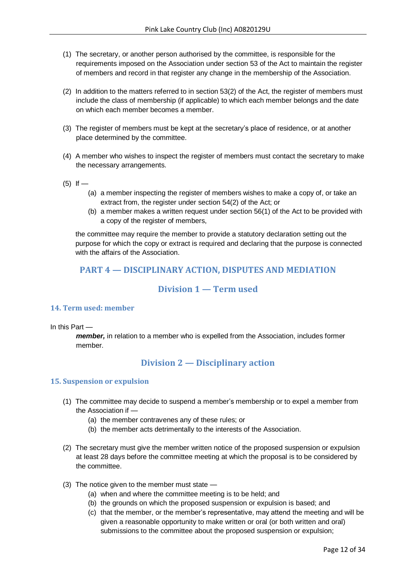- (1) The secretary, or another person authorised by the committee, is responsible for the requirements imposed on the Association under section 53 of the Act to maintain the register of members and record in that register any change in the membership of the Association.
- (2) In addition to the matters referred to in section 53(2) of the Act, the register of members must include the class of membership (if applicable) to which each member belongs and the date on which each member becomes a member.
- (3) The register of members must be kept at the secretary's place of residence, or at another place determined by the committee.
- (4) A member who wishes to inspect the register of members must contact the secretary to make the necessary arrangements.
- $(5)$  If
	- (a) a member inspecting the register of members wishes to make a copy of, or take an extract from, the register under section 54(2) of the Act; or
	- (b) a member makes a written request under section 56(1) of the Act to be provided with a copy of the register of members,

the committee may require the member to provide a statutory declaration setting out the purpose for which the copy or extract is required and declaring that the purpose is connected with the affairs of the Association.

# <span id="page-11-0"></span>**PART 4 — DISCIPLINARY ACTION, DISPUTES AND MEDIATION**

# **Division 1 — Term used**

# <span id="page-11-2"></span><span id="page-11-1"></span>**14. Term used: member**

In this Part —

*member,* in relation to a member who is expelled from the Association, includes former member.

# **Division 2 — Disciplinary action**

# <span id="page-11-4"></span><span id="page-11-3"></span>**15. Suspension or expulsion**

- (1) The committee may decide to suspend a member's membership or to expel a member from the Association if —
	- (a) the member contravenes any of these rules; or
	- (b) the member acts detrimentally to the interests of the Association.
- (2) The secretary must give the member written notice of the proposed suspension or expulsion at least 28 days before the committee meeting at which the proposal is to be considered by the committee.
- (3) The notice given to the member must state
	- (a) when and where the committee meeting is to be held; and
	- (b) the grounds on which the proposed suspension or expulsion is based; and
	- (c) that the member, or the member's representative, may attend the meeting and will be given a reasonable opportunity to make written or oral (or both written and oral) submissions to the committee about the proposed suspension or expulsion;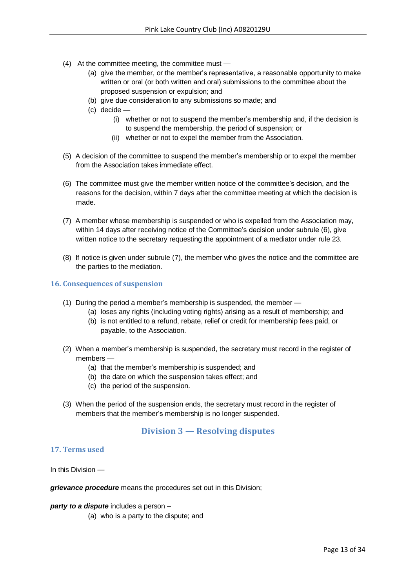- (4) At the committee meeting, the committee must
	- (a) give the member, or the member's representative, a reasonable opportunity to make written or oral (or both written and oral) submissions to the committee about the proposed suspension or expulsion; and
	- (b) give due consideration to any submissions so made; and
	- (c) decide
		- (i) whether or not to suspend the member's membership and, if the decision is to suspend the membership, the period of suspension; or
		- (ii) whether or not to expel the member from the Association.
- (5) A decision of the committee to suspend the member's membership or to expel the member from the Association takes immediate effect.
- (6) The committee must give the member written notice of the committee's decision, and the reasons for the decision, within 7 days after the committee meeting at which the decision is made.
- (7) A member whose membership is suspended or who is expelled from the Association may, within 14 days after receiving notice of the Committee's decision under subrule (6), give written notice to the secretary requesting the appointment of a mediator under rule 23.
- (8) If notice is given under subrule (7), the member who gives the notice and the committee are the parties to the mediation.

#### <span id="page-12-0"></span>**16. Consequences of suspension**

- (1) During the period a member's membership is suspended, the member
	- (a) loses any rights (including voting rights) arising as a result of membership; and
	- (b) is not entitled to a refund, rebate, relief or credit for membership fees paid, or payable, to the Association.
- (2) When a member's membership is suspended, the secretary must record in the register of members —
	- (a) that the member's membership is suspended; and
	- (b) the date on which the suspension takes effect; and
	- (c) the period of the suspension.
- <span id="page-12-1"></span>(3) When the period of the suspension ends, the secretary must record in the register of members that the member's membership is no longer suspended.

# **Division 3 — Resolving disputes**

# <span id="page-12-2"></span>**17. Terms used**

In this Division —

*grievance procedure* means the procedures set out in this Division:

*party to a dispute* includes a person –

(a) who is a party to the dispute; and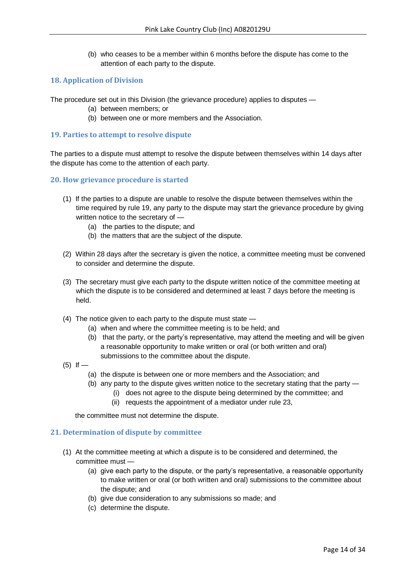(b) who ceases to be a member within 6 months before the dispute has come to the attention of each party to the dispute.

# <span id="page-13-0"></span>**18. Application of Division**

The procedure set out in this Division (the grievance procedure) applies to disputes —

- (a) between members; or
- (b) between one or more members and the Association.

#### <span id="page-13-1"></span>**19. Parties to attempt to resolve dispute**

The parties to a dispute must attempt to resolve the dispute between themselves within 14 days after the dispute has come to the attention of each party.

#### <span id="page-13-2"></span>**20. How grievance procedure is started**

- (1) If the parties to a dispute are unable to resolve the dispute between themselves within the time required by rule 19, any party to the dispute may start the grievance procedure by giving written notice to the secretary of —
	- (a) the parties to the dispute; and
	- (b) the matters that are the subject of the dispute.
- (2) Within 28 days after the secretary is given the notice, a committee meeting must be convened to consider and determine the dispute.
- (3) The secretary must give each party to the dispute written notice of the committee meeting at which the dispute is to be considered and determined at least 7 days before the meeting is held.
- (4) The notice given to each party to the dispute must state
	- (a) when and where the committee meeting is to be held; and
	- (b) that the party, or the party's representative, may attend the meeting and will be given a reasonable opportunity to make written or oral (or both written and oral) submissions to the committee about the dispute.
- $(5)$  If
	- (a) the dispute is between one or more members and the Association; and
	- (b) any party to the dispute gives written notice to the secretary stating that the party
		- (i) does not agree to the dispute being determined by the committee; and
		- (ii) requests the appointment of a mediator under rule 23,

the committee must not determine the dispute.

# <span id="page-13-3"></span>**21. Determination of dispute by committee**

- (1) At the committee meeting at which a dispute is to be considered and determined, the committee must —
	- (a) give each party to the dispute, or the party's representative, a reasonable opportunity to make written or oral (or both written and oral) submissions to the committee about the dispute; and
	- (b) give due consideration to any submissions so made; and
	- (c) determine the dispute.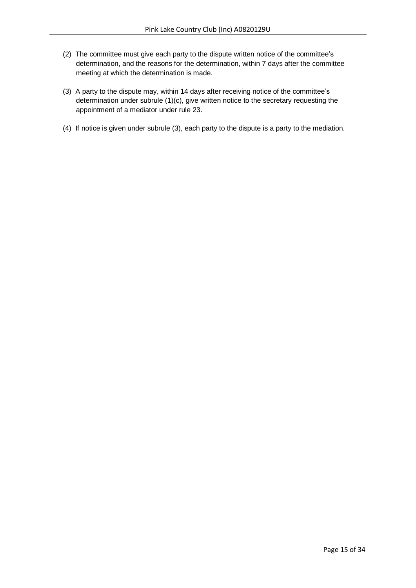- (2) The committee must give each party to the dispute written notice of the committee's determination, and the reasons for the determination, within 7 days after the committee meeting at which the determination is made.
- (3) A party to the dispute may, within 14 days after receiving notice of the committee's determination under subrule (1)(c), give written notice to the secretary requesting the appointment of a mediator under rule 23.
- (4) If notice is given under subrule (3), each party to the dispute is a party to the mediation.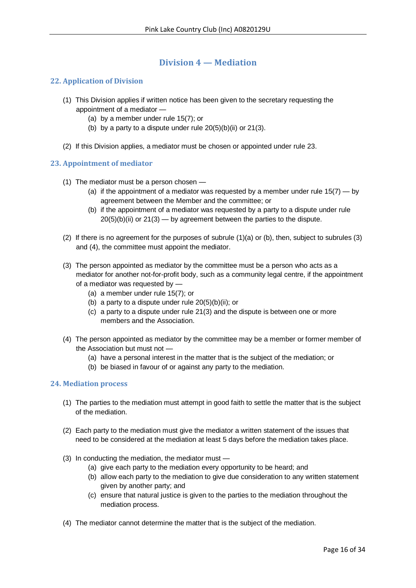# **Division 4 — Mediation**

# <span id="page-15-1"></span><span id="page-15-0"></span>**22. Application of Division**

- (1) This Division applies if written notice has been given to the secretary requesting the appointment of a mediator —
	- (a) by a member under rule 15(7); or
	- (b) by a party to a dispute under rule  $20(5)(b)(ii)$  or  $21(3)$ .
- (2) If this Division applies, a mediator must be chosen or appointed under rule 23.

# <span id="page-15-2"></span>**23. Appointment of mediator**

- (1) The mediator must be a person chosen
	- (a) if the appointment of a mediator was requested by a member under rule  $15(7) -$  by agreement between the Member and the committee; or
	- (b) if the appointment of a mediator was requested by a party to a dispute under rule  $20(5)(b)(ii)$  or  $21(3)$  — by agreement between the parties to the dispute.
- (2) If there is no agreement for the purposes of subrule (1)(a) or (b), then, subject to subrules (3) and (4), the committee must appoint the mediator.
- (3) The person appointed as mediator by the committee must be a person who acts as a mediator for another not-for-profit body, such as a community legal centre, if the appointment of a mediator was requested by —
	- (a) a member under rule 15(7); or
	- (b) a party to a dispute under rule 20(5)(b)(ii); or
	- (c) a party to a dispute under rule 21(3) and the dispute is between one or more members and the Association.
- (4) The person appointed as mediator by the committee may be a member or former member of the Association but must not —
	- (a) have a personal interest in the matter that is the subject of the mediation; or
	- (b) be biased in favour of or against any party to the mediation.

# <span id="page-15-3"></span>**24. Mediation process**

- (1) The parties to the mediation must attempt in good faith to settle the matter that is the subject of the mediation.
- (2) Each party to the mediation must give the mediator a written statement of the issues that need to be considered at the mediation at least 5 days before the mediation takes place.
- (3) In conducting the mediation, the mediator must
	- (a) give each party to the mediation every opportunity to be heard; and
	- (b) allow each party to the mediation to give due consideration to any written statement given by another party; and
	- (c) ensure that natural justice is given to the parties to the mediation throughout the mediation process.
- (4) The mediator cannot determine the matter that is the subject of the mediation.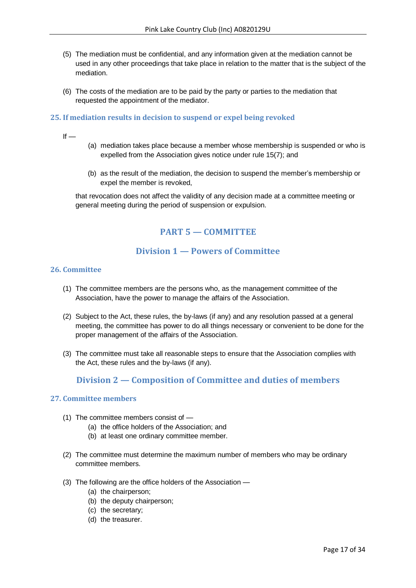- (5) The mediation must be confidential, and any information given at the mediation cannot be used in any other proceedings that take place in relation to the matter that is the subject of the mediation.
- (6) The costs of the mediation are to be paid by the party or parties to the mediation that requested the appointment of the mediator.

### <span id="page-16-0"></span>**25. If mediation results in decision to suspend or expel being revoked**

- $If -$
- (a) mediation takes place because a member whose membership is suspended or who is expelled from the Association gives notice under rule 15(7); and
- (b) as the result of the mediation, the decision to suspend the member's membership or expel the member is revoked,

<span id="page-16-1"></span>that revocation does not affect the validity of any decision made at a committee meeting or general meeting during the period of suspension or expulsion.

# **PART 5 — COMMITTEE**

# **Division 1 — Powers of Committee**

#### <span id="page-16-3"></span><span id="page-16-2"></span>**26. Committee**

- (1) The committee members are the persons who, as the management committee of the Association, have the power to manage the affairs of the Association.
- (2) Subject to the Act, these rules, the by-laws (if any) and any resolution passed at a general meeting, the committee has power to do all things necessary or convenient to be done for the proper management of the affairs of the Association.
- <span id="page-16-4"></span>(3) The committee must take all reasonable steps to ensure that the Association complies with the Act, these rules and the by-laws (if any).

# **Division 2 — Composition of Committee and duties of members**

#### <span id="page-16-5"></span>**27. Committee members**

- (1) The committee members consist of
	- (a) the office holders of the Association; and
	- (b) at least one ordinary committee member.
- (2) The committee must determine the maximum number of members who may be ordinary committee members.
- (3) The following are the office holders of the Association
	- (a) the chairperson;
	- (b) the deputy chairperson;
	- (c) the secretary;
	- (d) the treasurer.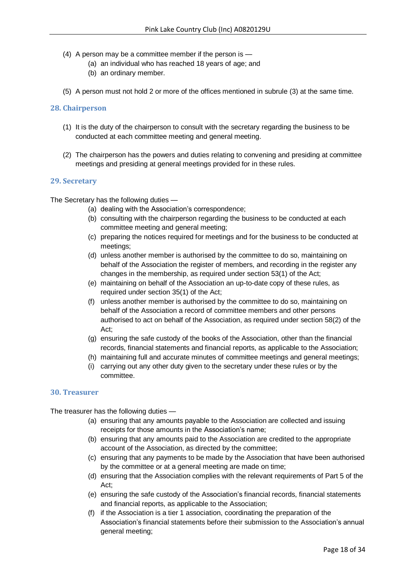- (4) A person may be a committee member if the person is
	- (a) an individual who has reached 18 years of age; and
	- (b) an ordinary member.
- (5) A person must not hold 2 or more of the offices mentioned in subrule (3) at the same time.

#### <span id="page-17-0"></span>**28. Chairperson**

- (1) It is the duty of the chairperson to consult with the secretary regarding the business to be conducted at each committee meeting and general meeting.
- (2) The chairperson has the powers and duties relating to convening and presiding at committee meetings and presiding at general meetings provided for in these rules.

#### <span id="page-17-1"></span>**29. Secretary**

The Secretary has the following duties —

- (a) dealing with the Association's correspondence;
- (b) consulting with the chairperson regarding the business to be conducted at each committee meeting and general meeting;
- (c) preparing the notices required for meetings and for the business to be conducted at meetings;
- (d) unless another member is authorised by the committee to do so, maintaining on behalf of the Association the register of members, and recording in the register any changes in the membership, as required under section 53(1) of the Act;
- (e) maintaining on behalf of the Association an up-to-date copy of these rules, as required under section 35(1) of the Act;
- (f) unless another member is authorised by the committee to do so, maintaining on behalf of the Association a record of committee members and other persons authorised to act on behalf of the Association, as required under section 58(2) of the Act;
- (g) ensuring the safe custody of the books of the Association, other than the financial records, financial statements and financial reports, as applicable to the Association;
- (h) maintaining full and accurate minutes of committee meetings and general meetings;
- (i) carrying out any other duty given to the secretary under these rules or by the committee.

#### <span id="page-17-2"></span>**30. Treasurer**

The treasurer has the following duties —

- (a) ensuring that any amounts payable to the Association are collected and issuing receipts for those amounts in the Association's name;
- (b) ensuring that any amounts paid to the Association are credited to the appropriate account of the Association, as directed by the committee;
- (c) ensuring that any payments to be made by the Association that have been authorised by the committee or at a general meeting are made on time;
- (d) ensuring that the Association complies with the relevant requirements of Part 5 of the Act;
- (e) ensuring the safe custody of the Association's financial records, financial statements and financial reports, as applicable to the Association;
- (f) if the Association is a tier 1 association, coordinating the preparation of the Association's financial statements before their submission to the Association's annual general meeting;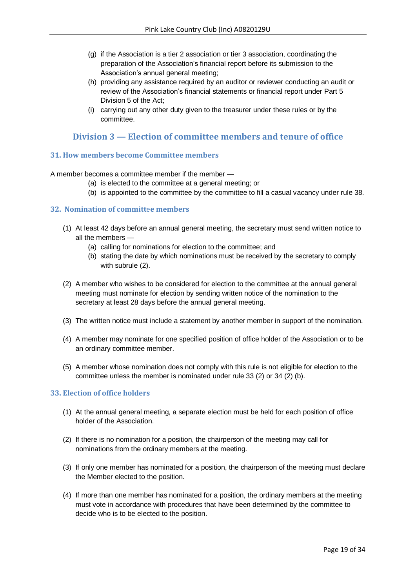- (g) if the Association is a tier 2 association or tier 3 association, coordinating the preparation of the Association's financial report before its submission to the Association's annual general meeting;
- (h) providing any assistance required by an auditor or reviewer conducting an audit or review of the Association's financial statements or financial report under Part 5 Division 5 of the Act;
- (i) carrying out any other duty given to the treasurer under these rules or by the committee.

# <span id="page-18-0"></span>**Division 3 — Election of committee members and tenure of office**

# <span id="page-18-1"></span>**31. How members become Committee members**

A member becomes a committee member if the member —

- (a) is elected to the committee at a general meeting; or
- (b) is appointed to the committee by the committee to fill a casual vacancy under rule 38.

# <span id="page-18-2"></span>**32. Nomination of committ**e**e members**

- (1) At least 42 days before an annual general meeting, the secretary must send written notice to all the members —
	- (a) calling for nominations for election to the committee; and
	- (b) stating the date by which nominations must be received by the secretary to comply with subrule (2).
- (2) A member who wishes to be considered for election to the committee at the annual general meeting must nominate for election by sending written notice of the nomination to the secretary at least 28 days before the annual general meeting.
- (3) The written notice must include a statement by another member in support of the nomination.
- (4) A member may nominate for one specified position of office holder of the Association or to be an ordinary committee member.
- (5) A member whose nomination does not comply with this rule is not eligible for election to the committee unless the member is nominated under rule 33 (2) or 34 (2) (b).

# <span id="page-18-3"></span>**33. Election of office holders**

- (1) At the annual general meeting, a separate election must be held for each position of office holder of the Association.
- (2) If there is no nomination for a position, the chairperson of the meeting may call for nominations from the ordinary members at the meeting.
- (3) If only one member has nominated for a position, the chairperson of the meeting must declare the Member elected to the position.
- (4) If more than one member has nominated for a position, the ordinary members at the meeting must vote in accordance with procedures that have been determined by the committee to decide who is to be elected to the position.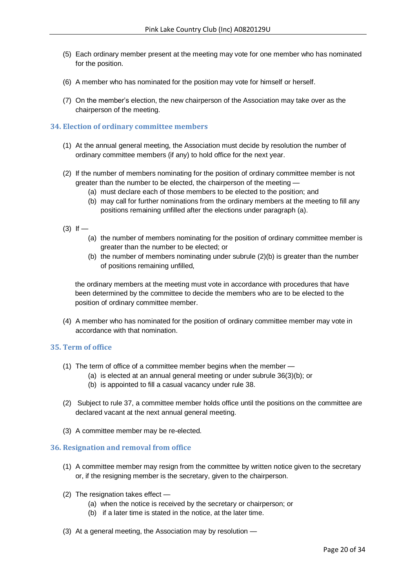- (5) Each ordinary member present at the meeting may vote for one member who has nominated for the position.
- (6) A member who has nominated for the position may vote for himself or herself.
- (7) On the member's election, the new chairperson of the Association may take over as the chairperson of the meeting.

#### <span id="page-19-0"></span>**34. Election of ordinary committee members**

- (1) At the annual general meeting, the Association must decide by resolution the number of ordinary committee members (if any) to hold office for the next year.
- (2) If the number of members nominating for the position of ordinary committee member is not greater than the number to be elected, the chairperson of the meeting —
	- (a) must declare each of those members to be elected to the position; and
	- (b) may call for further nominations from the ordinary members at the meeting to fill any positions remaining unfilled after the elections under paragraph (a).
- $(3)$  If
	- (a) the number of members nominating for the position of ordinary committee member is greater than the number to be elected; or
	- (b) the number of members nominating under subrule  $(2)(b)$  is greater than the number of positions remaining unfilled,

the ordinary members at the meeting must vote in accordance with procedures that have been determined by the committee to decide the members who are to be elected to the position of ordinary committee member.

(4) A member who has nominated for the position of ordinary committee member may vote in accordance with that nomination.

#### <span id="page-19-1"></span>**35. Term of office**

- (1) The term of office of a committee member begins when the member
	- (a) is elected at an annual general meeting or under subrule 36(3)(b); or
	- (b) is appointed to fill a casual vacancy under rule 38.
- (2) Subject to rule 37, a committee member holds office until the positions on the committee are declared vacant at the next annual general meeting.
- (3) A committee member may be re-elected.

# <span id="page-19-2"></span>**36. Resignation and removal from office**

- (1) A committee member may resign from the committee by written notice given to the secretary or, if the resigning member is the secretary, given to the chairperson.
- (2) The resignation takes effect
	- (a) when the notice is received by the secretary or chairperson; or
	- (b) if a later time is stated in the notice, at the later time.
- (3) At a general meeting, the Association may by resolution —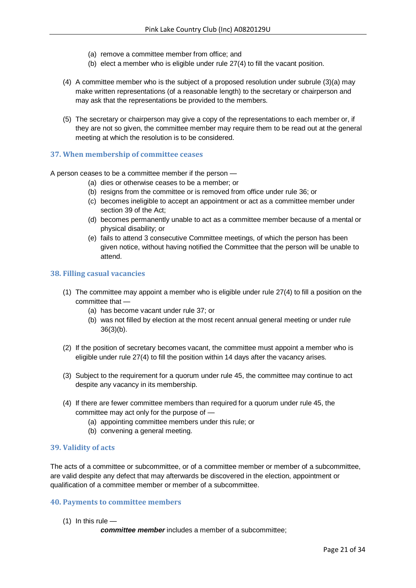- (a) remove a committee member from office; and
- (b) elect a member who is eligible under rule 27(4) to fill the vacant position.
- (4) A committee member who is the subject of a proposed resolution under subrule (3)(a) may make written representations (of a reasonable length) to the secretary or chairperson and may ask that the representations be provided to the members.
- (5) The secretary or chairperson may give a copy of the representations to each member or, if they are not so given, the committee member may require them to be read out at the general meeting at which the resolution is to be considered.

#### <span id="page-20-0"></span>**37. When membership of committee ceases**

A person ceases to be a committee member if the person —

- (a) dies or otherwise ceases to be a member; or
- (b) resigns from the committee or is removed from office under rule 36; or
- (c) becomes ineligible to accept an appointment or act as a committee member under section 39 of the Act;
- (d) becomes permanently unable to act as a committee member because of a mental or physical disability; or
- (e) fails to attend 3 consecutive Committee meetings, of which the person has been given notice, without having notified the Committee that the person will be unable to attend.

#### <span id="page-20-1"></span>**38. Filling casual vacancies**

- (1) The committee may appoint a member who is eligible under rule 27(4) to fill a position on the committee that —
	- (a) has become vacant under rule 37; or
	- (b) was not filled by election at the most recent annual general meeting or under rule 36(3)(b).
- (2) If the position of secretary becomes vacant, the committee must appoint a member who is eligible under rule 27(4) to fill the position within 14 days after the vacancy arises.
- (3) Subject to the requirement for a quorum under rule 45, the committee may continue to act despite any vacancy in its membership.
- (4) If there are fewer committee members than required for a quorum under rule 45, the committee may act only for the purpose of —
	- (a) appointing committee members under this rule; or
	- (b) convening a general meeting.

# <span id="page-20-2"></span>**39. Validity of acts**

The acts of a committee or subcommittee, or of a committee member or member of a subcommittee, are valid despite any defect that may afterwards be discovered in the election, appointment or qualification of a committee member or member of a subcommittee.

#### <span id="page-20-3"></span>**40. Payments to committee members**

 $(1)$  In this rule —

*committee member* includes a member of a subcommittee;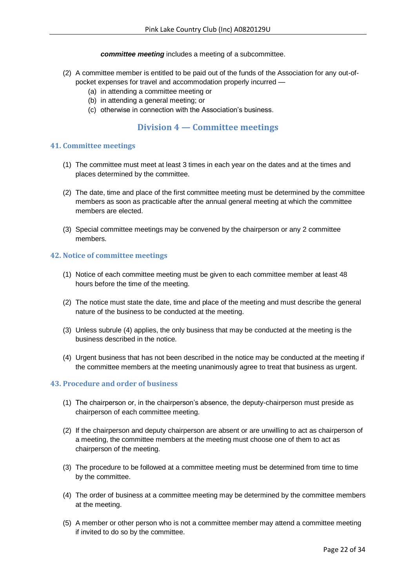# *committee meeting* includes a meeting of a subcommittee.

- (2) A committee member is entitled to be paid out of the funds of the Association for any out-ofpocket expenses for travel and accommodation properly incurred —
	- (a) in attending a committee meeting or
	- (b) in attending a general meeting; or
	- (c) otherwise in connection with the Association's business.

# **Division 4 — Committee meetings**

# <span id="page-21-1"></span><span id="page-21-0"></span>**41. Committee meetings**

- (1) The committee must meet at least 3 times in each year on the dates and at the times and places determined by the committee.
- (2) The date, time and place of the first committee meeting must be determined by the committee members as soon as practicable after the annual general meeting at which the committee members are elected.
- (3) Special committee meetings may be convened by the chairperson or any 2 committee members.

# <span id="page-21-2"></span>**42. Notice of committee meetings**

- (1) Notice of each committee meeting must be given to each committee member at least 48 hours before the time of the meeting.
- (2) The notice must state the date, time and place of the meeting and must describe the general nature of the business to be conducted at the meeting.
- (3) Unless subrule (4) applies, the only business that may be conducted at the meeting is the business described in the notice.
- (4) Urgent business that has not been described in the notice may be conducted at the meeting if the committee members at the meeting unanimously agree to treat that business as urgent.

# <span id="page-21-3"></span>**43. Procedure and order of business**

- (1) The chairperson or, in the chairperson's absence, the deputy-chairperson must preside as chairperson of each committee meeting.
- (2) If the chairperson and deputy chairperson are absent or are unwilling to act as chairperson of a meeting, the committee members at the meeting must choose one of them to act as chairperson of the meeting.
- (3) The procedure to be followed at a committee meeting must be determined from time to time by the committee.
- (4) The order of business at a committee meeting may be determined by the committee members at the meeting.
- (5) A member or other person who is not a committee member may attend a committee meeting if invited to do so by the committee.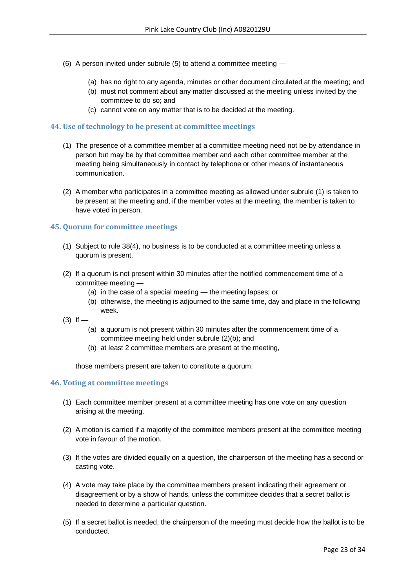- (6) A person invited under subrule (5) to attend a committee meeting
	- (a) has no right to any agenda, minutes or other document circulated at the meeting; and
	- (b) must not comment about any matter discussed at the meeting unless invited by the committee to do so; and
	- (c) cannot vote on any matter that is to be decided at the meeting.

#### <span id="page-22-0"></span>**44. Use of technology to be present at committee meetings**

- (1) The presence of a committee member at a committee meeting need not be by attendance in person but may be by that committee member and each other committee member at the meeting being simultaneously in contact by telephone or other means of instantaneous communication.
- (2) A member who participates in a committee meeting as allowed under subrule (1) is taken to be present at the meeting and, if the member votes at the meeting, the member is taken to have voted in person.

# <span id="page-22-1"></span>**45. Quorum for committee meetings**

- (1) Subject to rule 38(4), no business is to be conducted at a committee meeting unless a quorum is present.
- (2) If a quorum is not present within 30 minutes after the notified commencement time of a committee meeting —
	- (a) in the case of a special meeting the meeting lapses; or
	- (b) otherwise, the meeting is adjourned to the same time, day and place in the following week.
- $(3)$  If  $-$ 
	- (a) a quorum is not present within 30 minutes after the commencement time of a committee meeting held under subrule (2)(b); and
	- (b) at least 2 committee members are present at the meeting,

those members present are taken to constitute a quorum.

#### <span id="page-22-2"></span>**46. Voting at committee meetings**

- (1) Each committee member present at a committee meeting has one vote on any question arising at the meeting.
- (2) A motion is carried if a majority of the committee members present at the committee meeting vote in favour of the motion.
- (3) If the votes are divided equally on a question, the chairperson of the meeting has a second or casting vote.
- (4) A vote may take place by the committee members present indicating their agreement or disagreement or by a show of hands, unless the committee decides that a secret ballot is needed to determine a particular question.
- (5) If a secret ballot is needed, the chairperson of the meeting must decide how the ballot is to be conducted.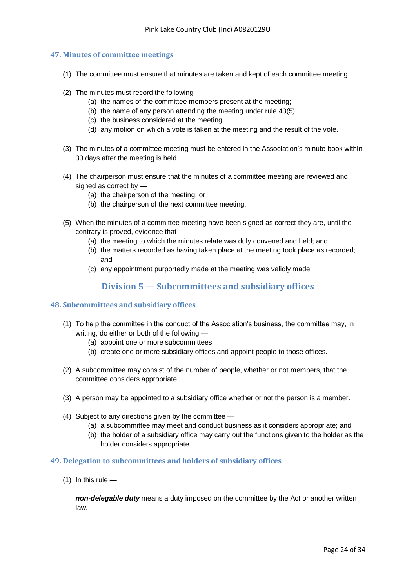# <span id="page-23-0"></span>**47. Minutes of committee meetings**

- (1) The committee must ensure that minutes are taken and kept of each committee meeting.
- (2) The minutes must record the following
	- (a) the names of the committee members present at the meeting;
	- (b) the name of any person attending the meeting under rule 43(5);
	- (c) the business considered at the meeting;
	- (d) any motion on which a vote is taken at the meeting and the result of the vote.
- (3) The minutes of a committee meeting must be entered in the Association's minute book within 30 days after the meeting is held.
- (4) The chairperson must ensure that the minutes of a committee meeting are reviewed and signed as correct by —
	- (a) the chairperson of the meeting; or
	- (b) the chairperson of the next committee meeting.
- (5) When the minutes of a committee meeting have been signed as correct they are, until the contrary is proved, evidence that —
	- (a) the meeting to which the minutes relate was duly convened and held; and
	- (b) the matters recorded as having taken place at the meeting took place as recorded; and
	- (c) any appointment purportedly made at the meeting was validly made.

# **Division 5 — Subcommittees and subsidiary offices**

# <span id="page-23-2"></span><span id="page-23-1"></span>**48. Subcommittees and subs**i**diary offices**

- (1) To help the committee in the conduct of the Association's business, the committee may, in writing, do either or both of the following —
	- (a) appoint one or more subcommittees;
	- (b) create one or more subsidiary offices and appoint people to those offices.
- (2) A subcommittee may consist of the number of people, whether or not members, that the committee considers appropriate.
- (3) A person may be appointed to a subsidiary office whether or not the person is a member.
- (4) Subject to any directions given by the committee
	- (a) a subcommittee may meet and conduct business as it considers appropriate; and
	- (b) the holder of a subsidiary office may carry out the functions given to the holder as the holder considers appropriate.

# <span id="page-23-3"></span>**49. Delegation to subcommittees and holders of subsidiary offices**

 $(1)$  In this rule —

*non-delegable duty* means a duty imposed on the committee by the Act or another written law.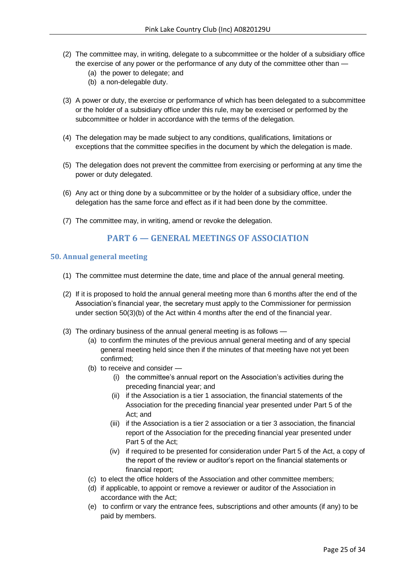- (2) The committee may, in writing, delegate to a subcommittee or the holder of a subsidiary office the exercise of any power or the performance of any duty of the committee other than —
	- (a) the power to delegate; and
	- (b) a non-delegable duty.
- (3) A power or duty, the exercise or performance of which has been delegated to a subcommittee or the holder of a subsidiary office under this rule, may be exercised or performed by the subcommittee or holder in accordance with the terms of the delegation.
- (4) The delegation may be made subject to any conditions, qualifications, limitations or exceptions that the committee specifies in the document by which the delegation is made.
- (5) The delegation does not prevent the committee from exercising or performing at any time the power or duty delegated.
- (6) Any act or thing done by a subcommittee or by the holder of a subsidiary office, under the delegation has the same force and effect as if it had been done by the committee.
- <span id="page-24-0"></span>(7) The committee may, in writing, amend or revoke the delegation.

# **PART 6 — GENERAL MEETINGS OF ASSOCIATION**

#### <span id="page-24-1"></span>**50. Annual general meeting**

- (1) The committee must determine the date, time and place of the annual general meeting.
- (2) If it is proposed to hold the annual general meeting more than 6 months after the end of the Association's financial year, the secretary must apply to the Commissioner for permission under section 50(3)(b) of the Act within 4 months after the end of the financial year.
- (3) The ordinary business of the annual general meeting is as follows
	- (a) to confirm the minutes of the previous annual general meeting and of any special general meeting held since then if the minutes of that meeting have not yet been confirmed;
	- (b) to receive and consider
		- (i) the committee's annual report on the Association's activities during the preceding financial year; and
		- (ii) if the Association is a tier 1 association, the financial statements of the Association for the preceding financial year presented under Part 5 of the Act; and
		- (iii) if the Association is a tier 2 association or a tier 3 association, the financial report of the Association for the preceding financial year presented under Part 5 of the Act;
		- (iv) if required to be presented for consideration under Part 5 of the Act, a copy of the report of the review or auditor's report on the financial statements or financial report;
	- (c) to elect the office holders of the Association and other committee members;
	- (d) if applicable, to appoint or remove a reviewer or auditor of the Association in accordance with the Act;
	- (e) to confirm or vary the entrance fees, subscriptions and other amounts (if any) to be paid by members.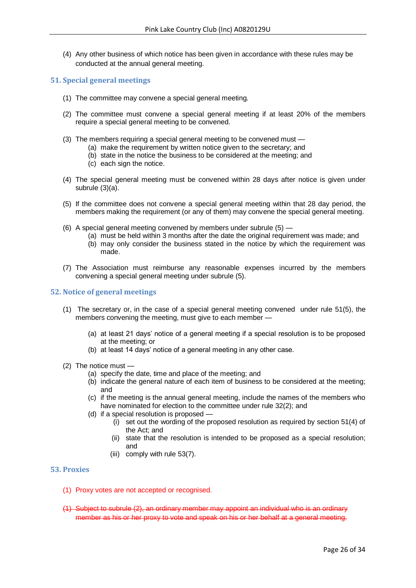(4) Any other business of which notice has been given in accordance with these rules may be conducted at the annual general meeting.

### <span id="page-25-0"></span>**51. Special general meetings**

- (1) The committee may convene a special general meeting.
- (2) The committee must convene a special general meeting if at least 20% of the members require a special general meeting to be convened.
- (3) The members requiring a special general meeting to be convened must
	- (a) make the requirement by written notice given to the secretary; and
	- (b) state in the notice the business to be considered at the meeting; and
	- (c) each sign the notice.
- (4) The special general meeting must be convened within 28 days after notice is given under subrule (3)(a).
- (5) If the committee does not convene a special general meeting within that 28 day period, the members making the requirement (or any of them) may convene the special general meeting.
- (6) A special general meeting convened by members under subrule (5)
	- (a) must be held within 3 months after the date the original requirement was made; and
	- (b) may only consider the business stated in the notice by which the requirement was made.
- (7) The Association must reimburse any reasonable expenses incurred by the members convening a special general meeting under subrule (5).

#### <span id="page-25-1"></span>**52. Notice of general meetings**

- (1) The secretary or, in the case of a special general meeting convened under rule 51(5), the members convening the meeting, must give to each member —
	- (a) at least 21 days' notice of a general meeting if a special resolution is to be proposed at the meeting; or
	- (b) at least 14 days' notice of a general meeting in any other case.
- (2) The notice must
	- (a) specify the date, time and place of the meeting; and
	- (b) indicate the general nature of each item of business to be considered at the meeting; and
	- (c) if the meeting is the annual general meeting, include the names of the members who have nominated for election to the committee under rule 32(2); and
	- (d) if a special resolution is proposed -
		- (i) set out the wording of the proposed resolution as required by section 51(4) of the Act; and
		- (ii) state that the resolution is intended to be proposed as a special resolution; and
		- (iii) comply with rule 53(7).

# <span id="page-25-2"></span>**53. Proxies**

- (1) Proxy votes are not accepted or recognised.
- (1) Subject to subrule (2), an ordinary member may appoint an individual who is an ordinary member as his or her proxy to vote and speak on his or her behalf at a general meeting.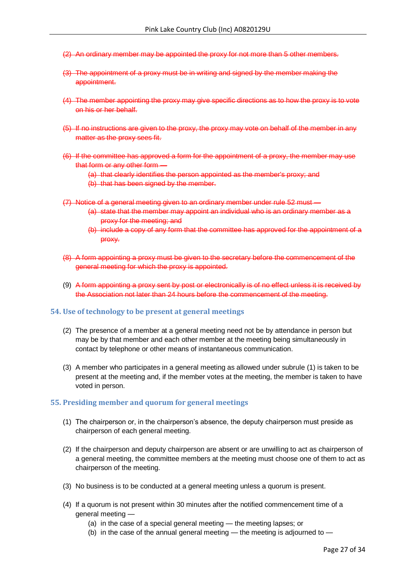- (2) An ordinary member may be appointed the proxy for not more than 5 other members.
- (3) The appointment of a proxy must be in writing and signed by the member making the appointment.
- (4) The member appointing the proxy may give specific directions as to how the proxy is to vote on his or her behalf.
- (5) If no instructions are given to the proxy, the proxy may vote on behalf of the member in any matter as the proxy sees fit.
- (6) If the committee has approved a form for the appointment of a proxy, the member may use that form or any other form —
	- (a) that clearly identifies the person appointed as the member's proxy; and
	- (b) that has been signed by the member.
- (7) Notice of a general meeting given to an ordinary member under rule 52 must
	- (a) state that the member may appoint an individual who is an ordinary member as a proxy for the meeting; and
	- (b) include a copy of any form that the committee has approved for the appointment of a proxy.
- (8) A form appointing a proxy must be given to the secretary before the commencement of the general meeting for which the proxy is appointed.
- (9) A form appointing a proxy sent by post or electronically is of no effect unless it is received by the Association not later than 24 hours before the commencement of the meeting.

#### <span id="page-26-0"></span>**54. Use of technology to be present at general meetings**

- (2) The presence of a member at a general meeting need not be by attendance in person but may be by that member and each other member at the meeting being simultaneously in contact by telephone or other means of instantaneous communication.
- (3) A member who participates in a general meeting as allowed under subrule (1) is taken to be present at the meeting and, if the member votes at the meeting, the member is taken to have voted in person.

#### <span id="page-26-1"></span>**55. Presiding member and quorum for general meetings**

- (1) The chairperson or, in the chairperson's absence, the deputy chairperson must preside as chairperson of each general meeting.
- (2) If the chairperson and deputy chairperson are absent or are unwilling to act as chairperson of a general meeting, the committee members at the meeting must choose one of them to act as chairperson of the meeting.
- (3) No business is to be conducted at a general meeting unless a quorum is present.
- (4) If a quorum is not present within 30 minutes after the notified commencement time of a general meeting —
	- (a) in the case of a special general meeting the meeting lapses; or
	- (b) in the case of the annual general meeting the meeting is adjourned to —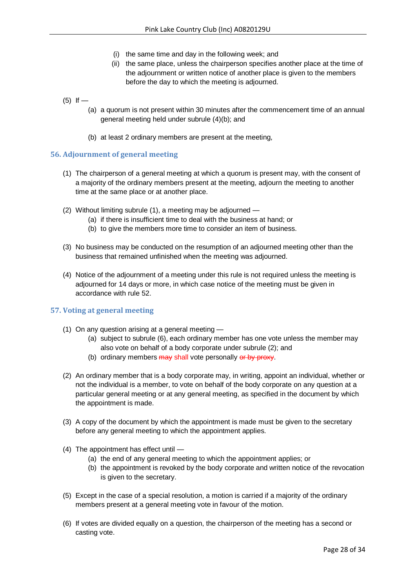- (i) the same time and day in the following week; and
- (ii) the same place, unless the chairperson specifies another place at the time of the adjournment or written notice of another place is given to the members before the day to which the meeting is adjourned.

# $(5)$  If —

- (a) a quorum is not present within 30 minutes after the commencement time of an annual general meeting held under subrule (4)(b); and
- (b) at least 2 ordinary members are present at the meeting,

# <span id="page-27-0"></span>**56. Adjournment of general meeting**

- (1) The chairperson of a general meeting at which a quorum is present may, with the consent of a majority of the ordinary members present at the meeting, adjourn the meeting to another time at the same place or at another place.
- (2) Without limiting subrule (1), a meeting may be adjourned
	- (a) if there is insufficient time to deal with the business at hand; or
	- (b) to give the members more time to consider an item of business.
- (3) No business may be conducted on the resumption of an adjourned meeting other than the business that remained unfinished when the meeting was adjourned.
- (4) Notice of the adjournment of a meeting under this rule is not required unless the meeting is adjourned for 14 days or more, in which case notice of the meeting must be given in accordance with rule 52.

# <span id="page-27-1"></span>**57. Voting at general meeting**

- (1) On any question arising at a general meeting
	- (a) subject to subrule (6), each ordinary member has one vote unless the member may also vote on behalf of a body corporate under subrule (2); and
	- (b) ordinary members may shall vote personally or by proxy.
- (2) An ordinary member that is a body corporate may, in writing, appoint an individual, whether or not the individual is a member, to vote on behalf of the body corporate on any question at a particular general meeting or at any general meeting, as specified in the document by which the appointment is made.
- (3) A copy of the document by which the appointment is made must be given to the secretary before any general meeting to which the appointment applies.
- (4) The appointment has effect until
	- (a) the end of any general meeting to which the appointment applies; or
	- (b) the appointment is revoked by the body corporate and written notice of the revocation is given to the secretary.
- (5) Except in the case of a special resolution, a motion is carried if a majority of the ordinary members present at a general meeting vote in favour of the motion.
- (6) If votes are divided equally on a question, the chairperson of the meeting has a second or casting vote.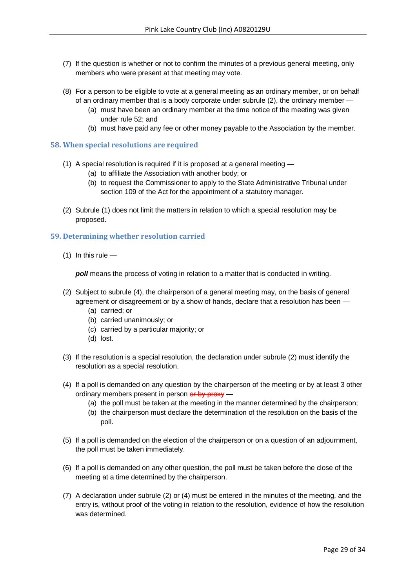- (7) If the question is whether or not to confirm the minutes of a previous general meeting, only members who were present at that meeting may vote.
- (8) For a person to be eligible to vote at a general meeting as an ordinary member, or on behalf of an ordinary member that is a body corporate under subrule  $(2)$ , the ordinary member -
	- (a) must have been an ordinary member at the time notice of the meeting was given under rule 52; and
	- (b) must have paid any fee or other money payable to the Association by the member.

#### <span id="page-28-0"></span>**58. When special resolutions are required**

- (1) A special resolution is required if it is proposed at a general meeting
	- (a) to affiliate the Association with another body; or
	- (b) to request the Commissioner to apply to the State Administrative Tribunal under section 109 of the Act for the appointment of a statutory manager.
- (2) Subrule (1) does not limit the matters in relation to which a special resolution may be proposed.

#### <span id="page-28-1"></span>**59. Determining whether resolution carried**

 $(1)$  In this rule —

*poll* means the process of voting in relation to a matter that is conducted in writing.

- (2) Subject to subrule (4), the chairperson of a general meeting may, on the basis of general agreement or disagreement or by a show of hands, declare that a resolution has been —
	- (a) carried; or
	- (b) carried unanimously; or
	- (c) carried by a particular majority; or
	- (d) lost.
- (3) If the resolution is a special resolution, the declaration under subrule (2) must identify the resolution as a special resolution.
- (4) If a poll is demanded on any question by the chairperson of the meeting or by at least 3 other ordinary members present in person or by proxy -
	- (a) the poll must be taken at the meeting in the manner determined by the chairperson;
	- (b) the chairperson must declare the determination of the resolution on the basis of the poll.
- (5) If a poll is demanded on the election of the chairperson or on a question of an adjournment, the poll must be taken immediately.
- (6) If a poll is demanded on any other question, the poll must be taken before the close of the meeting at a time determined by the chairperson.
- (7) A declaration under subrule (2) or (4) must be entered in the minutes of the meeting, and the entry is, without proof of the voting in relation to the resolution, evidence of how the resolution was determined.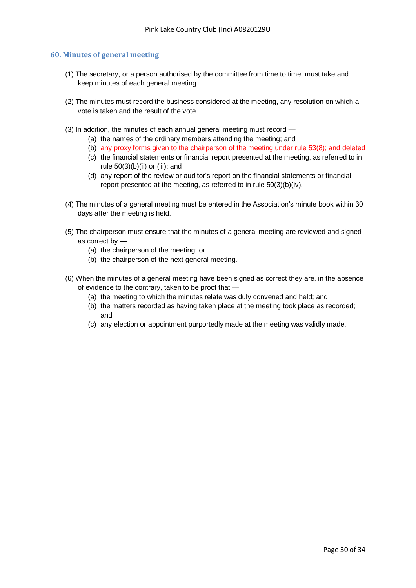#### <span id="page-29-0"></span>**60. Minutes of general meeting**

- (1) The secretary, or a person authorised by the committee from time to time, must take and keep minutes of each general meeting.
- (2) The minutes must record the business considered at the meeting, any resolution on which a vote is taken and the result of the vote.
- (3) In addition, the minutes of each annual general meeting must record
	- (a) the names of the ordinary members attending the meeting; and
	- (b) any proxy forms given to the chairperson of the meeting under rule 53(8); and deleted
	- (c) the financial statements or financial report presented at the meeting, as referred to in rule  $50(3)(b)(ii)$  or (iii); and
	- (d) any report of the review or auditor's report on the financial statements or financial report presented at the meeting, as referred to in rule 50(3)(b)(iv).
- (4) The minutes of a general meeting must be entered in the Association's minute book within 30 days after the meeting is held.
- (5) The chairperson must ensure that the minutes of a general meeting are reviewed and signed as correct by —
	- (a) the chairperson of the meeting; or
	- (b) the chairperson of the next general meeting.
- (6) When the minutes of a general meeting have been signed as correct they are, in the absence of evidence to the contrary, taken to be proof that —
	- (a) the meeting to which the minutes relate was duly convened and held; and
	- (b) the matters recorded as having taken place at the meeting took place as recorded; and
	- (c) any election or appointment purportedly made at the meeting was validly made.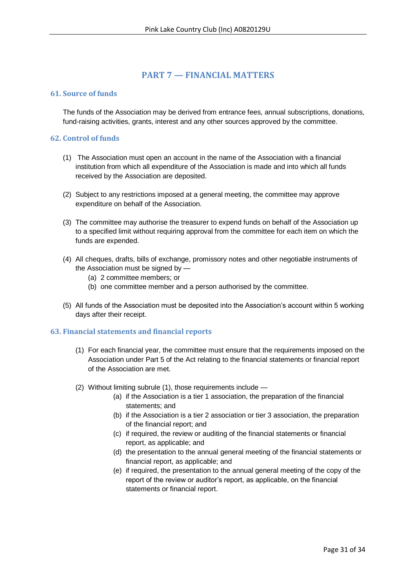# **PART 7 — FINANCIAL MATTERS**

# <span id="page-30-1"></span><span id="page-30-0"></span>**61. Source of funds**

The funds of the Association may be derived from entrance fees, annual subscriptions, donations, fund-raising activities, grants, interest and any other sources approved by the committee.

# <span id="page-30-2"></span>**62. Control of funds**

- (1) The Association must open an account in the name of the Association with a financial institution from which all expenditure of the Association is made and into which all funds received by the Association are deposited.
- (2) Subject to any restrictions imposed at a general meeting, the committee may approve expenditure on behalf of the Association.
- (3) The committee may authorise the treasurer to expend funds on behalf of the Association up to a specified limit without requiring approval from the committee for each item on which the funds are expended.
- (4) All cheques, drafts, bills of exchange, promissory notes and other negotiable instruments of the Association must be signed by —
	- (a) 2 committee members; or
	- (b) one committee member and a person authorised by the committee.
- (5) All funds of the Association must be deposited into the Association's account within 5 working days after their receipt.

# <span id="page-30-3"></span>**63. Financial statements and financial reports**

- (1) For each financial year, the committee must ensure that the requirements imposed on the Association under Part 5 of the Act relating to the financial statements or financial report of the Association are met.
- (2) Without limiting subrule (1), those requirements include
	- (a) if the Association is a tier 1 association, the preparation of the financial statements; and
	- (b) if the Association is a tier 2 association or tier 3 association, the preparation of the financial report; and
	- (c) if required, the review or auditing of the financial statements or financial report, as applicable; and
	- (d) the presentation to the annual general meeting of the financial statements or financial report, as applicable; and
	- (e) if required, the presentation to the annual general meeting of the copy of the report of the review or auditor's report, as applicable, on the financial statements or financial report.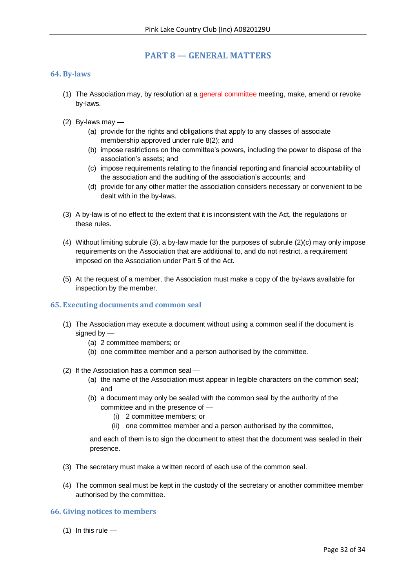# **PART 8 — GENERAL MATTERS**

#### <span id="page-31-1"></span><span id="page-31-0"></span>**64. By-laws**

- (1) The Association may, by resolution at a general committee meeting, make, amend or revoke by-laws.
- (2) By-laws may
	- (a) provide for the rights and obligations that apply to any classes of associate membership approved under rule 8(2); and
	- (b) impose restrictions on the committee's powers, including the power to dispose of the association's assets; and
	- (c) impose requirements relating to the financial reporting and financial accountability of the association and the auditing of the association's accounts; and
	- (d) provide for any other matter the association considers necessary or convenient to be dealt with in the by-laws.
- (3) A by-law is of no effect to the extent that it is inconsistent with the Act, the regulations or these rules.
- (4) Without limiting subrule (3), a by-law made for the purposes of subrule (2)(c) may only impose requirements on the Association that are additional to, and do not restrict, a requirement imposed on the Association under Part 5 of the Act.
- (5) At the request of a member, the Association must make a copy of the by-laws available for inspection by the member.

#### <span id="page-31-2"></span>**65. Executing documents and common seal**

- (1) The Association may execute a document without using a common seal if the document is signed by  $-$ 
	- (a) 2 committee members; or
	- (b) one committee member and a person authorised by the committee.
- (2) If the Association has a common seal
	- (a) the name of the Association must appear in legible characters on the common seal; and
	- (b) a document may only be sealed with the common seal by the authority of the committee and in the presence of —
		- (i) 2 committee members; or
		- (ii) one committee member and a person authorised by the committee,

and each of them is to sign the document to attest that the document was sealed in their presence.

- (3) The secretary must make a written record of each use of the common seal.
- (4) The common seal must be kept in the custody of the secretary or another committee member authorised by the committee.

# <span id="page-31-3"></span>**66. Giving notices to members**

 $(1)$  In this rule —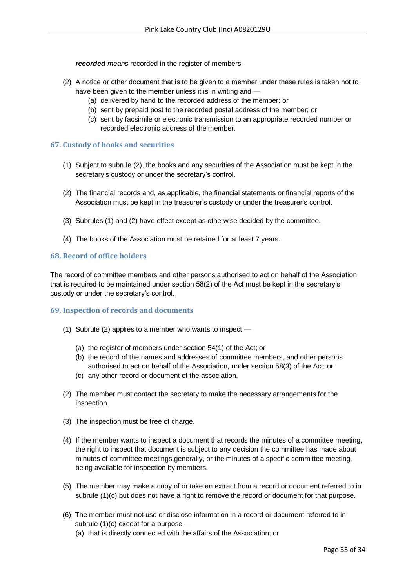*recorded means* recorded in the register of members.

- (2) A notice or other document that is to be given to a member under these rules is taken not to have been given to the member unless it is in writing and —
	- (a) delivered by hand to the recorded address of the member; or
	- (b) sent by prepaid post to the recorded postal address of the member; or
	- (c) sent by facsimile or electronic transmission to an appropriate recorded number or recorded electronic address of the member.

# <span id="page-32-0"></span>**67. Custody of books and securities**

- (1) Subject to subrule (2), the books and any securities of the Association must be kept in the secretary's custody or under the secretary's control.
- (2) The financial records and, as applicable, the financial statements or financial reports of the Association must be kept in the treasurer's custody or under the treasurer's control.
- (3) Subrules (1) and (2) have effect except as otherwise decided by the committee.
- (4) The books of the Association must be retained for at least 7 years.

# <span id="page-32-1"></span>**68. Record of office holders**

The record of committee members and other persons authorised to act on behalf of the Association that is required to be maintained under section 58(2) of the Act must be kept in the secretary's custody or under the secretary's control.

# <span id="page-32-2"></span>**69. Inspection of records and documents**

- (1) Subrule (2) applies to a member who wants to inspect
	- (a) the register of members under section 54(1) of the Act; or
	- (b) the record of the names and addresses of committee members, and other persons authorised to act on behalf of the Association, under section 58(3) of the Act; or
	- (c) any other record or document of the association.
- (2) The member must contact the secretary to make the necessary arrangements for the inspection.
- (3) The inspection must be free of charge.
- (4) If the member wants to inspect a document that records the minutes of a committee meeting, the right to inspect that document is subject to any decision the committee has made about minutes of committee meetings generally, or the minutes of a specific committee meeting, being available for inspection by members.
- (5) The member may make a copy of or take an extract from a record or document referred to in subrule (1)(c) but does not have a right to remove the record or document for that purpose.
- (6) The member must not use or disclose information in a record or document referred to in subrule (1)(c) except for a purpose —
	- (a) that is directly connected with the affairs of the Association; or